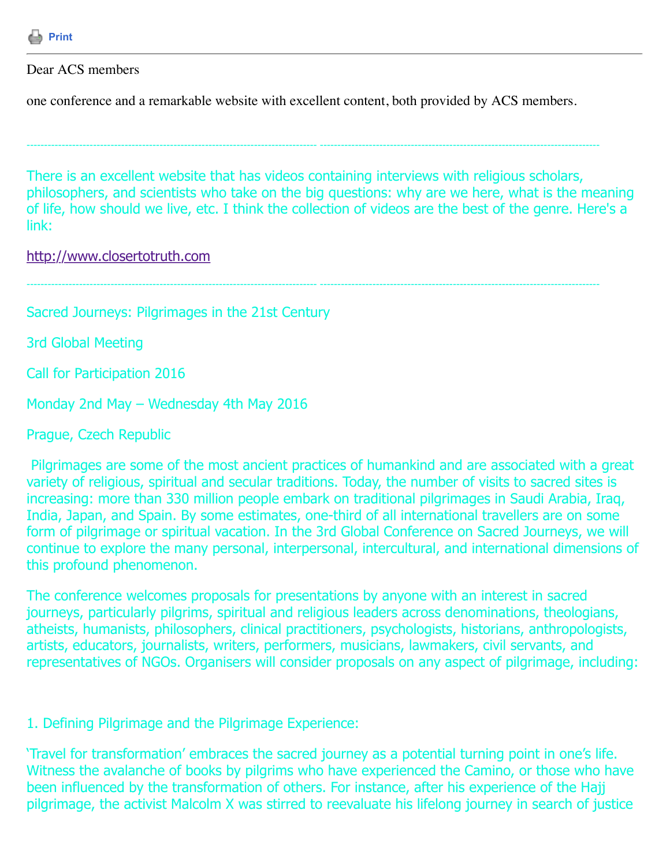

Dear ACS members

one conference and a remarkable website with excellent content, both provided by ACS members.

----------------------------------------------------------------------------------- --------------------------------------------------------------------------------

----------------------------------------------------------------------------------- --------------------------------------------------------------------------------

There is an excellent website that has videos containing interviews with religious scholars, philosophers, and scientists who take on the big questions: why are we here, what is the meaning of life, how should we live, etc. I think the collection of videos are the best of the genre. Here's a link:

[http://www.closertotruth.com](http://www.closertotruth.com/)

Sacred Journeys: Pilgrimages in the 21st Century

3rd Global Meeting

Call for Participation 2016

Monday 2nd May – Wednesday 4th May 2016

Prague, Czech Republic

Pilgrimages are some of the most ancient practices of humankind and are associated with a great variety of religious, spiritual and secular traditions. Today, the number of visits to sacred sites is increasing: more than 330 million people embark on traditional pilgrimages in Saudi Arabia, Iraq, India, Japan, and Spain. By some estimates, one-third of all international travellers are on some form of pilgrimage or spiritual vacation. In the 3rd Global Conference on Sacred Journeys, we will continue to explore the many personal, interpersonal, intercultural, and international dimensions of this profound phenomenon.

The conference welcomes proposals for presentations by anyone with an interest in sacred journeys, particularly pilgrims, spiritual and religious leaders across denominations, theologians, atheists, humanists, philosophers, clinical practitioners, psychologists, historians, anthropologists, artists, educators, journalists, writers, performers, musicians, lawmakers, civil servants, and representatives of NGOs. Organisers will consider proposals on any aspect of pilgrimage, including:

1. Defining Pilgrimage and the Pilgrimage Experience:

'Travel for transformation' embraces the sacred journey as a potential turning point in one's life. Witness the avalanche of books by pilgrims who have experienced the Camino, or those who have been influenced by the transformation of others. For instance, after his experience of the Hajj pilgrimage, the activist Malcolm X was stirred to reevaluate his lifelong journey in search of justice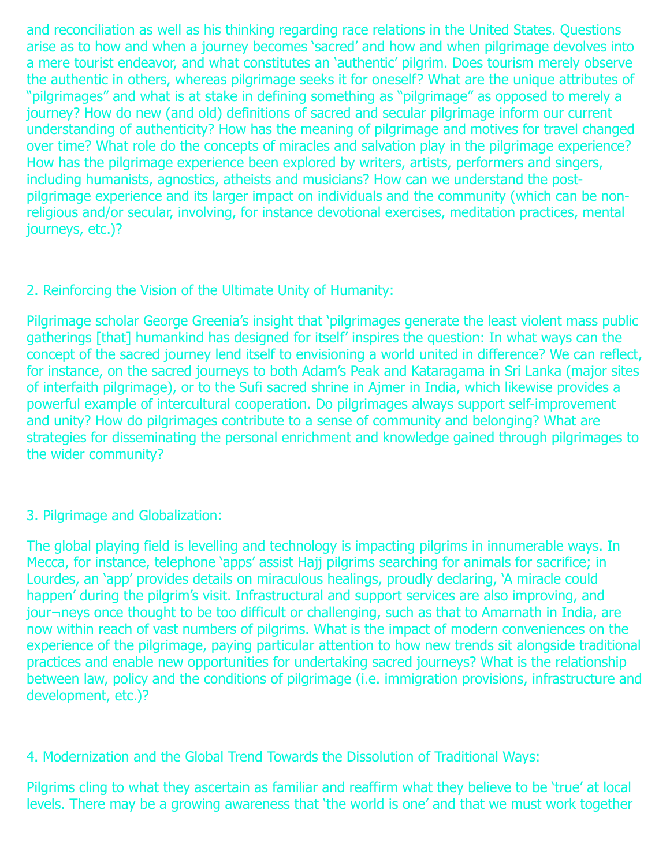and reconciliation as well as his thinking regarding race relations in the United States. Questions arise as to how and when a journey becomes 'sacred' and how and when pilgrimage devolves into a mere tourist endeavor, and what constitutes an 'authentic' pilgrim. Does tourism merely observe the authentic in others, whereas pilgrimage seeks it for oneself? What are the unique attributes of "pilgrimages" and what is at stake in defining something as "pilgrimage" as opposed to merely a journey? How do new (and old) definitions of sacred and secular pilgrimage inform our current understanding of authenticity? How has the meaning of pilgrimage and motives for travel changed over time? What role do the concepts of miracles and salvation play in the pilgrimage experience? How has the pilgrimage experience been explored by writers, artists, performers and singers, including humanists, agnostics, atheists and musicians? How can we understand the postpilgrimage experience and its larger impact on individuals and the community (which can be nonreligious and/or secular, involving, for instance devotional exercises, meditation practices, mental journeys, etc.)?

# 2. Reinforcing the Vision of the Ultimate Unity of Humanity:

Pilgrimage scholar George Greenia's insight that 'pilgrimages generate the least violent mass public gatherings [that] humankind has designed for itself' inspires the question: In what ways can the concept of the sacred journey lend itself to envisioning a world united in difference? We can reflect, for instance, on the sacred journeys to both Adam's Peak and Kataragama in Sri Lanka (major sites of interfaith pilgrimage), or to the Sufi sacred shrine in Ajmer in India, which likewise provides a powerful example of intercultural cooperation. Do pilgrimages always support self-improvement and unity? How do pilgrimages contribute to a sense of community and belonging? What are strategies for disseminating the personal enrichment and knowledge gained through pilgrimages to the wider community?

# 3. Pilgrimage and Globalization:

The global playing field is levelling and technology is impacting pilgrims in innumerable ways. In Mecca, for instance, telephone 'apps' assist Hajj pilgrims searching for animals for sacrifice; in Lourdes, an 'app' provides details on miraculous healings, proudly declaring, 'A miracle could happen' during the pilgrim's visit. Infrastructural and support services are also improving, and jour-neys once thought to be too difficult or challenging, such as that to Amarnath in India, are now within reach of vast numbers of pilgrims. What is the impact of modern conveniences on the experience of the pilgrimage, paying particular attention to how new trends sit alongside traditional practices and enable new opportunities for undertaking sacred journeys? What is the relationship between law, policy and the conditions of pilgrimage (i.e. immigration provisions, infrastructure and development, etc.)?

# 4. Modernization and the Global Trend Towards the Dissolution of Traditional Ways:

Pilgrims cling to what they ascertain as familiar and reaffirm what they believe to be 'true' at local levels. There may be a growing awareness that 'the world is one' and that we must work together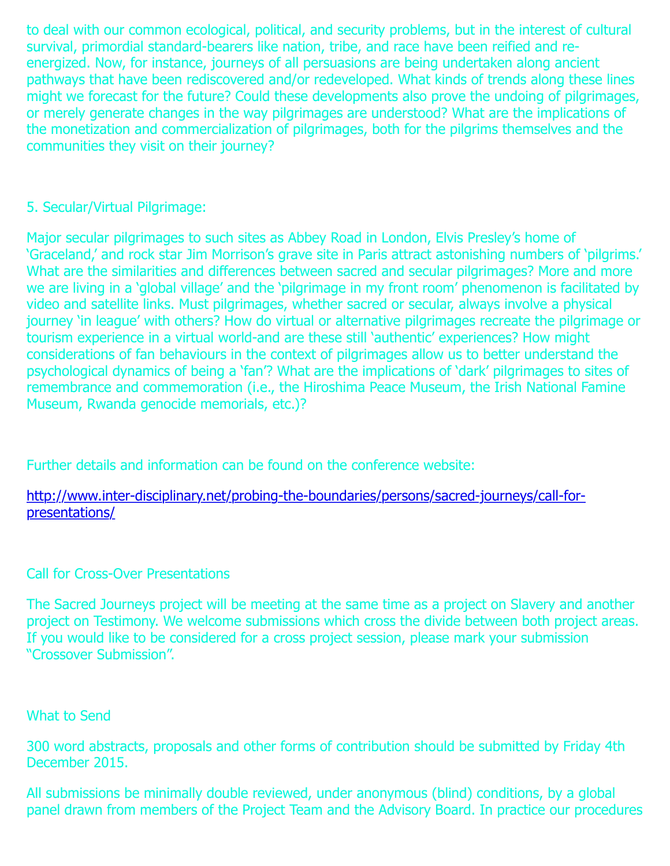to deal with our common ecological, political, and security problems, but in the interest of cultural survival, primordial standard-bearers like nation, tribe, and race have been reified and reenergized. Now, for instance, journeys of all persuasions are being undertaken along ancient pathways that have been rediscovered and/or redeveloped. What kinds of trends along these lines might we forecast for the future? Could these developments also prove the undoing of pilgrimages, or merely generate changes in the way pilgrimages are understood? What are the implications of the monetization and commercialization of pilgrimages, both for the pilgrims themselves and the communities they visit on their journey?

# 5. Secular/Virtual Pilgrimage:

Major secular pilgrimages to such sites as Abbey Road in London, Elvis Presley's home of 'Graceland,' and rock star Jim Morrison's grave site in Paris attract astonishing numbers of 'pilgrims.' What are the similarities and differences between sacred and secular pilgrimages? More and more we are living in a 'global village' and the 'pilgrimage in my front room' phenomenon is facilitated by video and satellite links. Must pilgrimages, whether sacred or secular, always involve a physical journey 'in league' with others? How do virtual or alternative pilgrimages recreate the pilgrimage or tourism experience in a virtual world-and are these still 'authentic' experiences? How might considerations of fan behaviours in the context of pilgrimages allow us to better understand the psychological dynamics of being a 'fan'? What are the implications of 'dark' pilgrimages to sites of remembrance and commemoration (i.e., the Hiroshima Peace Museum, the Irish National Famine Museum, Rwanda genocide memorials, etc.)?

Further details and information can be found on the conference website:

[http://www.inter-disciplinary.net/probing-the-boundaries/persons/sacred-journeys/call-for](http://www.inter-disciplinary.net/probing-the-boundaries/persons/sacred-journeys/call-for-presentations/)presentations/

# Call for Cross-Over Presentations

The Sacred Journeys project will be meeting at the same time as a project on Slavery and another project on Testimony. We welcome submissions which cross the divide between both project areas. If you would like to be considered for a cross project session, please mark your submission "Crossover Submission".

# What to Send

300 word abstracts, proposals and other forms of contribution should be submitted by Friday 4th December 2015.

All submissions be minimally double reviewed, under anonymous (blind) conditions, by a global panel drawn from members of the Project Team and the Advisory Board. In practice our procedures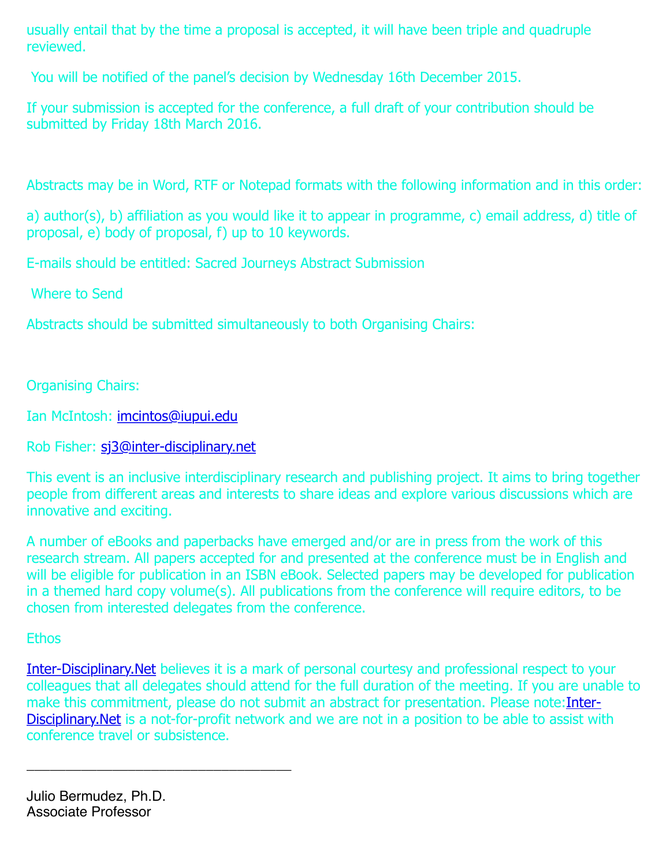usually entail that by the time a proposal is accepted, it will have been triple and quadruple reviewed.

You will be notified of the panel's decision by Wednesday 16th December 2015.

If your submission is accepted for the conference, a full draft of your contribution should be submitted by Friday 18th March 2016.

Abstracts may be in Word, RTF or Notepad formats with the following information and in this order:

a) author(s), b) affiliation as you would like it to appear in programme, c) email address, d) title of proposal, e) body of proposal, f) up to 10 keywords.

E-mails should be entitled: Sacred Journeys Abstract Submission

Where to Send

Abstracts should be submitted simultaneously to both Organising Chairs:

Organising Chairs:

Ian McIntosh: [imcintos@iupui.edu](mailto:imcintos@iupui.edu)

Rob Fisher: [sj3@inter-disciplinary.net](mailto:sj3@inter-disciplinary.net)

This event is an inclusive interdisciplinary research and publishing project. It aims to bring together people from different areas and interests to share ideas and explore various discussions which are innovative and exciting.

A number of eBooks and paperbacks have emerged and/or are in press from the work of this research stream. All papers accepted for and presented at the conference must be in English and will be eligible for publication in an ISBN eBook. Selected papers may be developed for publication in a themed hard copy volume(s). All publications from the conference will require editors, to be chosen from interested delegates from the conference.

# **Ethos**

[Inter-Disciplinary.Net](http://inter-disciplinary.net/) believes it is a mark of personal courtesy and professional respect to your colleagues that all delegates should attend for the full duration of the meeting. If you are unable to make this commitment, please do not submit an abstract for presentation. Please note: Inter-[Disciplinary.Net is a not-for-profit network and we are not in a position to be able to assist wit](http://inter-disciplinary.net/)h conference travel or subsistence.

Julio Bermudez, Ph.D. Associate Professor

\_\_\_\_\_\_\_\_\_\_\_\_\_\_\_\_\_\_\_\_\_\_\_\_\_\_\_\_\_\_\_\_\_\_